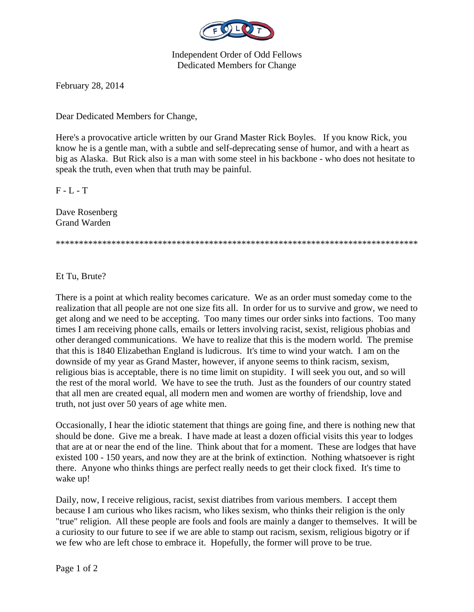

Independent Order of Odd Fellows Dedicated Members for Change

February 28, 2014

Dear Dedicated Members for Change,

Here's a provocative article written by our Grand Master Rick Boyles. If you know Rick, you know he is a gentle man, with a subtle and self-deprecating sense of humor, and with a heart as big as Alaska. But Rick also is a man with some steel in his backbone - who does not hesitate to speak the truth, even when that truth may be painful.

 $F - L - T$ 

Dave Rosenberg Grand Warden

\*\*\*\*\*\*\*\*\*\*\*\*\*\*\*\*\*\*\*\*\*\*\*\*\*\*\*\*\*\*\*\*\*\*\*\*\*\*\*\*\*\*\*\*\*\*\*\*\*\*\*\*\*\*\*\*\*\*\*\*\*\*\*\*\*\*\*\*\*\*\*\*\*\*\*\*\*\*

Et Tu, Brute?

There is a point at which reality becomes caricature. We as an order must someday come to the realization that all people are not one size fits all. In order for us to survive and grow, we need to get along and we need to be accepting. Too many times our order sinks into factions. Too many times I am receiving phone calls, emails or letters involving racist, sexist, religious phobias and other deranged communications. We have to realize that this is the modern world. The premise that this is 1840 Elizabethan England is ludicrous. It's time to wind your watch. I am on the downside of my year as Grand Master, however, if anyone seems to think racism, sexism, religious bias is acceptable, there is no time limit on stupidity. I will seek you out, and so will the rest of the moral world. We have to see the truth. Just as the founders of our country stated that all men are created equal, all modern men and women are worthy of friendship, love and truth, not just over 50 years of age white men.

Occasionally, I hear the idiotic statement that things are going fine, and there is nothing new that should be done. Give me a break. I have made at least a dozen official visits this year to lodges that are at or near the end of the line. Think about that for a moment. These are lodges that have existed 100 - 150 years, and now they are at the brink of extinction. Nothing whatsoever is right there. Anyone who thinks things are perfect really needs to get their clock fixed. It's time to wake up!

Daily, now, I receive religious, racist, sexist diatribes from various members. I accept them because I am curious who likes racism, who likes sexism, who thinks their religion is the only "true" religion. All these people are fools and fools are mainly a danger to themselves. It will be a curiosity to our future to see if we are able to stamp out racism, sexism, religious bigotry or if we few who are left chose to embrace it. Hopefully, the former will prove to be true.